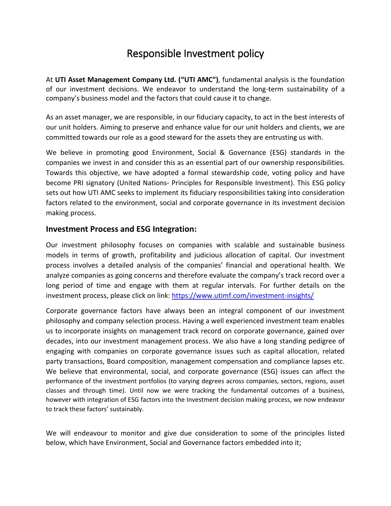# Responsible Investment policy

At **UTI Asset Management Company Ltd. ("UTI AMC")**, fundamental analysis is the foundation of our investment decisions. We endeavor to understand the long-term sustainability of a company's business model and the factors that could cause it to change.

As an asset manager, we are responsible, in our fiduciary capacity, to act in the best interests of our unit holders. Aiming to preserve and enhance value for our unit holders and clients, we are committed towards our role as a good steward for the assets they are entrusting us with.

We believe in promoting good Environment, Social & Governance (ESG) standards in the companies we invest in and consider this as an essential part of our ownership responsibilities. Towards this objective, we have adopted a formal stewardship code, voting policy and have become PRI signatory (United Nations- Principles for Responsible Investment). This ESG policy sets out how UTI AMC seeks to implement its fiduciary responsibilities taking into consideration factors related to the environment, social and corporate governance in its investment decision making process.

## **Investment Process and ESG Integration:**

Our investment philosophy focuses on companies with scalable and sustainable business models in terms of growth, profitability and judicious allocation of capital. Our investment process involves a detailed analysis of the companies' financial and operational health. We analyze companies as going concerns and therefore evaluate the company's track record over a long period of time and engage with them at regular intervals. For further details on the investment process, please click on link:<https://www.utimf.com/investment-insights/>

Corporate governance factors have always been an integral component of our investment philosophy and company selection process. Having a well experienced investment team enables us to incorporate insights on management track record on corporate governance, gained over decades, into our investment management process. We also have a long standing pedigree of engaging with companies on corporate governance issues such as capital allocation, related party transactions, Board composition, management compensation and compliance lapses etc. We believe that environmental, social, and corporate governance (ESG) issues can affect the performance of the investment portfolios (to varying degrees across companies, sectors, regions, asset classes and through time). Until now we were tracking the fundamental outcomes of a business, however with integration of ESG factors into the Investment decision making process, we now endeavor to track these factors' sustainably.

We will endeavour to monitor and give due consideration to some of the principles listed below, which have Environment, Social and Governance factors embedded into it;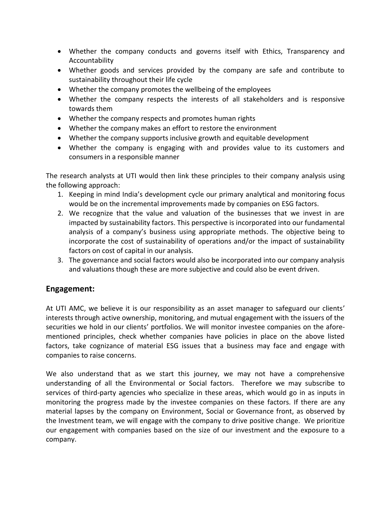- Whether the company conducts and governs itself with Ethics, Transparency and Accountability
- Whether goods and services provided by the company are safe and contribute to sustainability throughout their life cycle
- Whether the company promotes the wellbeing of the employees
- Whether the company respects the interests of all stakeholders and is responsive towards them
- Whether the company respects and promotes human rights
- Whether the company makes an effort to restore the environment
- Whether the company supports inclusive growth and equitable development
- Whether the company is engaging with and provides value to its customers and consumers in a responsible manner

The research analysts at UTI would then link these principles to their company analysis using the following approach:

- 1. Keeping in mind India's development cycle our primary analytical and monitoring focus would be on the incremental improvements made by companies on ESG factors.
- 2. We recognize that the value and valuation of the businesses that we invest in are impacted by sustainability factors. This perspective is incorporated into our fundamental analysis of a company's business using appropriate methods. The objective being to incorporate the cost of sustainability of operations and/or the impact of sustainability factors on cost of capital in our analysis.
- 3. The governance and social factors would also be incorporated into our company analysis and valuations though these are more subjective and could also be event driven.

## **Engagement:**

At UTI AMC, we believe it is our responsibility as an asset manager to safeguard our clients' interests through active ownership, monitoring, and mutual engagement with the issuers of the securities we hold in our clients' portfolios. We will monitor investee companies on the aforementioned principles, check whether companies have policies in place on the above listed factors, take cognizance of material ESG issues that a business may face and engage with companies to raise concerns.

We also understand that as we start this journey, we may not have a comprehensive understanding of all the Environmental or Social factors. Therefore we may subscribe to services of third-party agencies who specialize in these areas, which would go in as inputs in monitoring the progress made by the investee companies on these factors. If there are any material lapses by the company on Environment, Social or Governance front, as observed by the Investment team, we will engage with the company to drive positive change. We prioritize our engagement with companies based on the size of our investment and the exposure to a company.